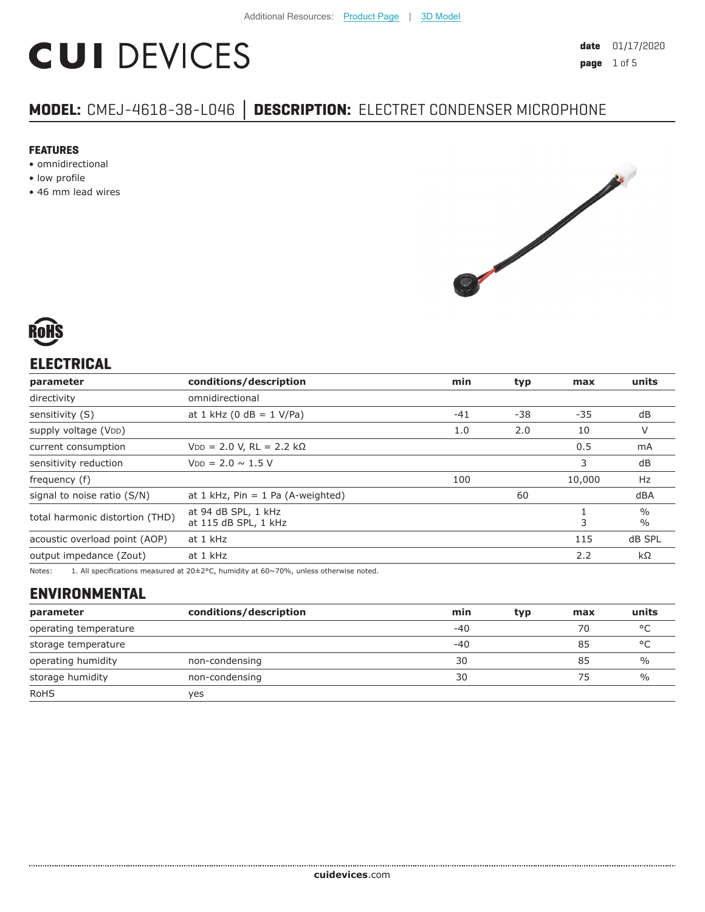# **CUI DEVICES**

# **MODEL:** CMEJ-4618-38-L046 **│ DESCRIPTION:** ELECTRET CONDENSER MICROPHONE

#### **FEATURES**

- omnidirectional
- low profile
- 46 mm lead wires





# **ELECTRICAL**

| parameter                       | conditions/description                      | min   | typ | max    | units                          |
|---------------------------------|---------------------------------------------|-------|-----|--------|--------------------------------|
| directivity                     | omnidirectional                             |       |     |        |                                |
| sensitivity (S)                 | at 1 kHz (0 dB = $1$ V/Pa)                  | $-41$ | -38 | $-35$  | dB                             |
| supply voltage (VDD)            |                                             | 1.0   | 2.0 | 10     | V                              |
| current consumption             | $VDD = 2.0 V, RL = 2.2 k\Omega$             |       |     | 0.5    | mA                             |
| sensitivity reduction           | $V_{DD} = 2.0 \sim 1.5 V$                   |       |     | 3      | dB                             |
| frequency (f)                   |                                             | 100   |     | 10,000 | Hz                             |
| signal to noise ratio (S/N)     | at 1 kHz, $Pin = 1$ Pa (A-weighted)         |       | 60  |        | dBA                            |
| total harmonic distortion (THD) | at 94 dB SPL, 1 kHz<br>at 115 dB SPL, 1 kHz |       |     | 3      | $\frac{0}{0}$<br>$\frac{0}{0}$ |
| acoustic overload point (AOP)   | at 1 kHz                                    |       |     | 115    | dB SPL                         |
| output impedance (Zout)         | at 1 kHz                                    |       |     | 2.2    | $k\Omega$                      |
|                                 |                                             |       |     |        |                                |

Notes: 1. All specifications measured at 20±2°C, humidity at 60~70%, unless otherwise noted.

# **ENVIRONMENTAL**

| parameter             | conditions/description | min   | typ | max | units         |
|-----------------------|------------------------|-------|-----|-----|---------------|
| operating temperature |                        | $-40$ |     | 70  | $\circ$       |
| storage temperature   |                        | $-40$ |     | 85  | °C            |
| operating humidity    | non-condensing         | 30    |     | 85  | $\frac{0}{0}$ |
| storage humidity      | non-condensing         | 30    |     | 75  | $\%$          |
| <b>RoHS</b>           | yes                    |       |     |     |               |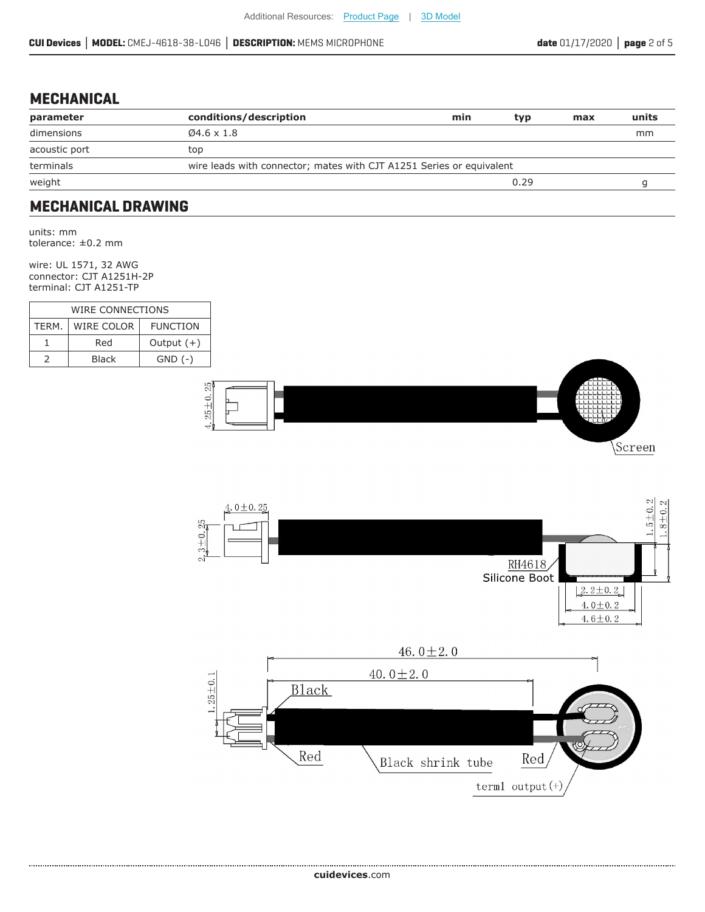#### **MECHANICAL**

| parameter     | conditions/description                                               | min | typ  | max | units |
|---------------|----------------------------------------------------------------------|-----|------|-----|-------|
| dimensions    | $\varnothing$ 4.6 x 1.8                                              |     |      |     | mm    |
| acoustic port | top                                                                  |     |      |     |       |
| terminals     | wire leads with connector; mates with CJT A1251 Series or equivalent |     |      |     |       |
| weight        |                                                                      |     | 0.29 |     |       |
|               |                                                                      |     |      |     |       |

#### **MECHANICAL DRAWING**

units: mm tolerance: ±0.2 mm

wire: UL 1571, 32 AWG connector: CJT A1251H-2P terminal: CJT A1251-TP

| WIRE CONNECTIONS |            |                 |  |  |
|------------------|------------|-----------------|--|--|
| TFRM.            | WIRE COLOR | <b>FUNCTION</b> |  |  |
|                  | Red        | Output $(+)$    |  |  |
|                  | Black      | $GND$ $(-)$     |  |  |





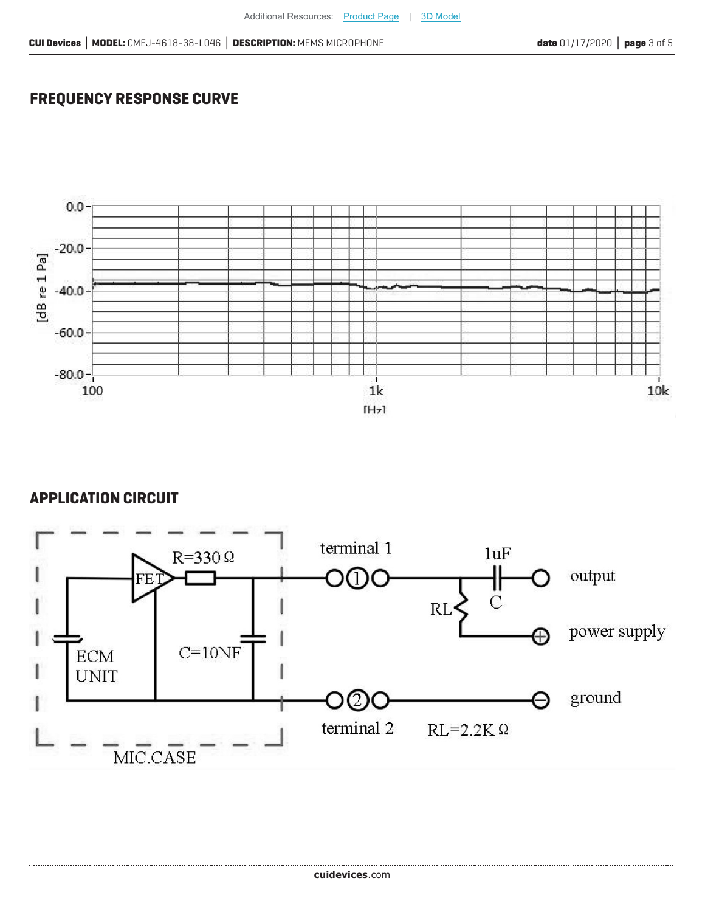# **FREQUENCY RESPONSE CURVE**



### **APPLICATION CIRCUIT**

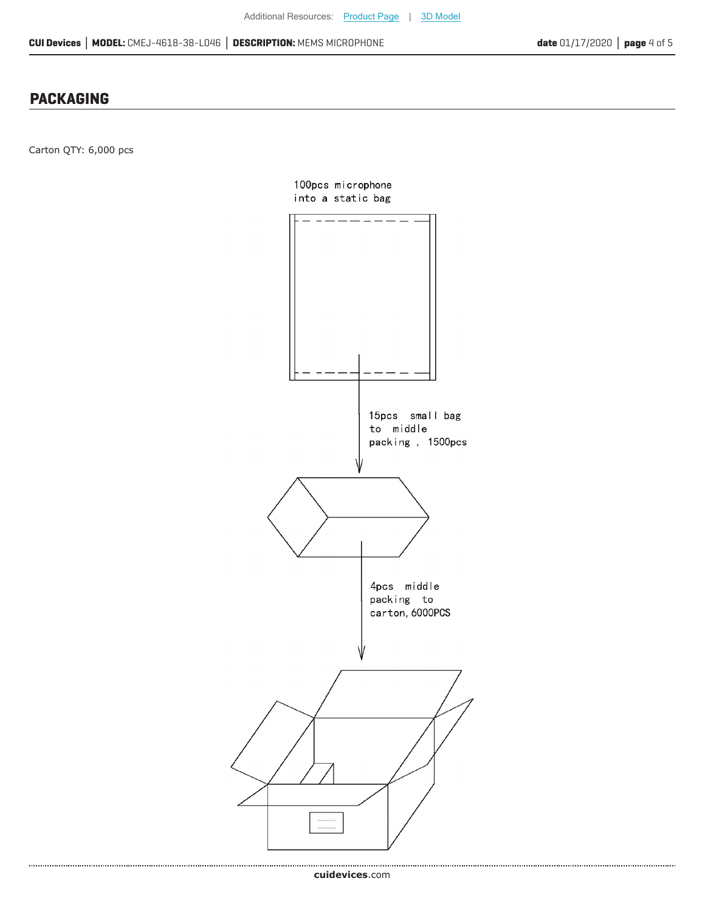#### **PACKAGING**

Carton QTY: 6,000 pcs